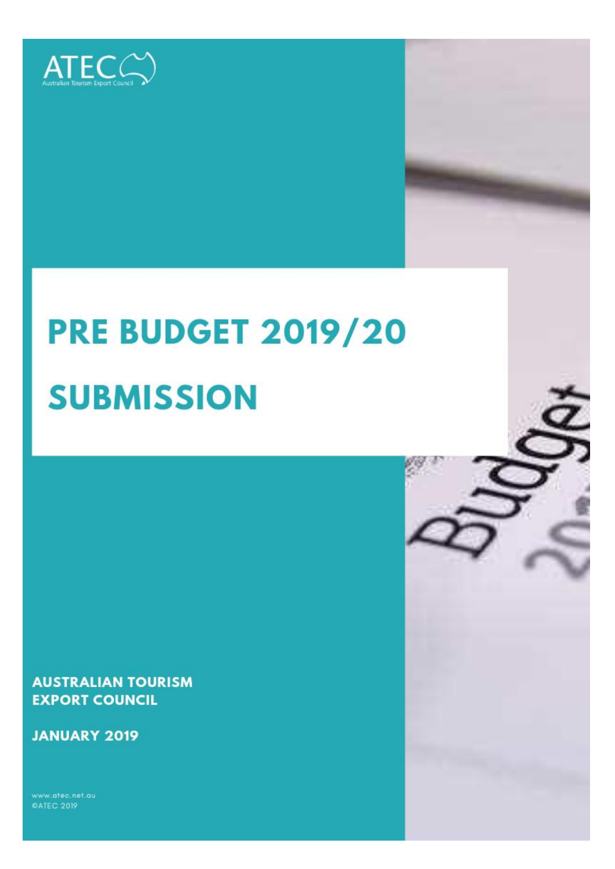

# **PRE BUDGET 2019/20 SUBMISSION**

**AUSTRALIAN TOURISM EXPORT COUNCIL** 

**JANUARY 2019** 

**©ATEC 2019**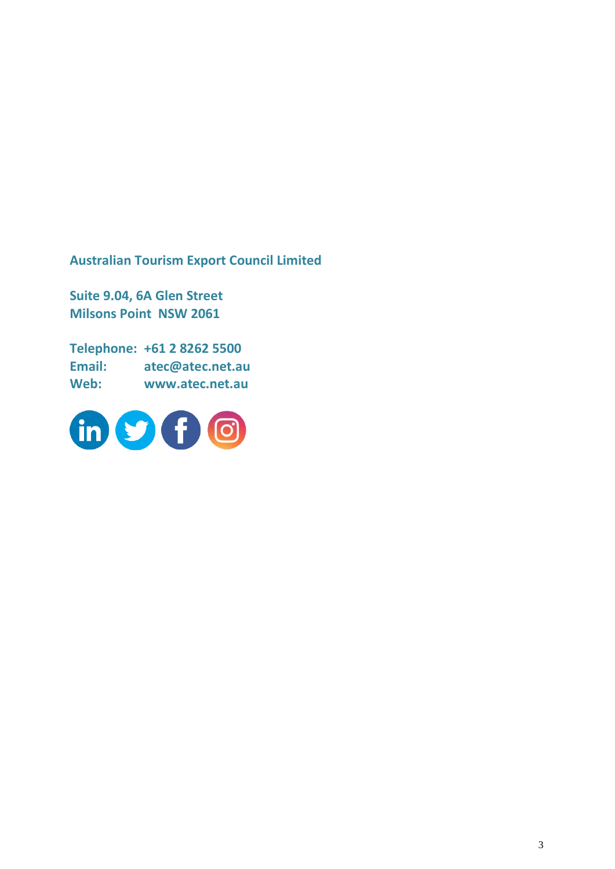**Australian Tourism Export Council Limited**

**Suite 9.04, 6A Glen Street Milsons Point NSW 2061**

**Telephone: +61 2 8262 5500 Email: atec@atec.net.au Web: www.atec.net.au**

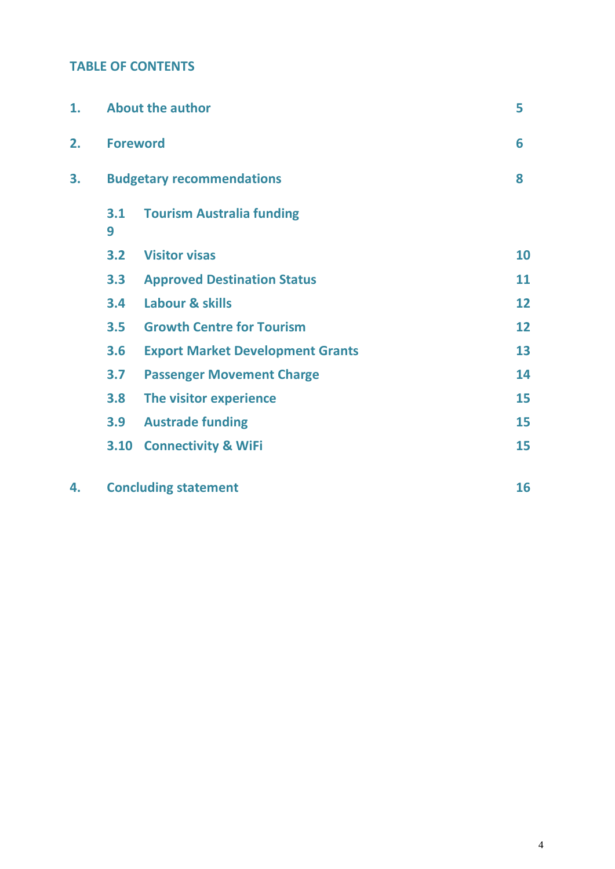# **TABLE OF CONTENTS**

| 1. | <b>About the author</b>          |                                         |    | 5  |
|----|----------------------------------|-----------------------------------------|----|----|
| 2. | <b>Foreword</b>                  |                                         |    | 6  |
| 3. | <b>Budgetary recommendations</b> |                                         |    | 8  |
|    | 3.1<br>9                         | <b>Tourism Australia funding</b>        |    |    |
|    | 3.2                              | <b>Visitor visas</b>                    |    | 10 |
|    | 3.3                              | <b>Approved Destination Status</b>      |    | 11 |
|    | 3.4                              | Labour & skills                         |    | 12 |
|    | 3.5                              | <b>Growth Centre for Tourism</b>        |    | 12 |
|    | 3.6                              | <b>Export Market Development Grants</b> |    | 13 |
|    | 3.7                              | <b>Passenger Movement Charge</b>        |    | 14 |
|    | 3.8                              | The visitor experience                  |    | 15 |
|    | 3.9                              | <b>Austrade funding</b>                 |    | 15 |
|    | 3.10                             | <b>Connectivity &amp; WiFi</b>          |    | 15 |
| 4. | <b>Concluding statement</b>      |                                         | 16 |    |

4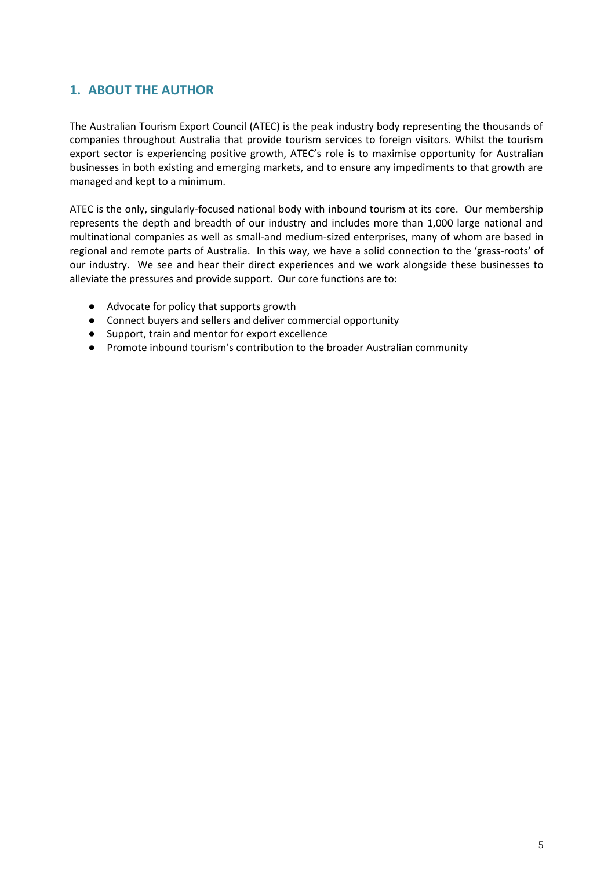# **1. ABOUT THE AUTHOR**

The Australian Tourism Export Council (ATEC) is the peak industry body representing the thousands of companies throughout Australia that provide tourism services to foreign visitors. Whilst the tourism export sector is experiencing positive growth, ATEC's role is to maximise opportunity for Australian businesses in both existing and emerging markets, and to ensure any impediments to that growth are managed and kept to a minimum.

ATEC is the only, singularly-focused national body with inbound tourism at its core. Our membership represents the depth and breadth of our industry and includes more than 1,000 large national and multinational companies as well as small-and medium-sized enterprises, many of whom are based in regional and remote parts of Australia. In this way, we have a solid connection to the 'grass-roots' of our industry. We see and hear their direct experiences and we work alongside these businesses to alleviate the pressures and provide support. Our core functions are to:

- Advocate for policy that supports growth
- Connect buyers and sellers and deliver commercial opportunity
- Support, train and mentor for export excellence
- Promote inbound tourism's contribution to the broader Australian community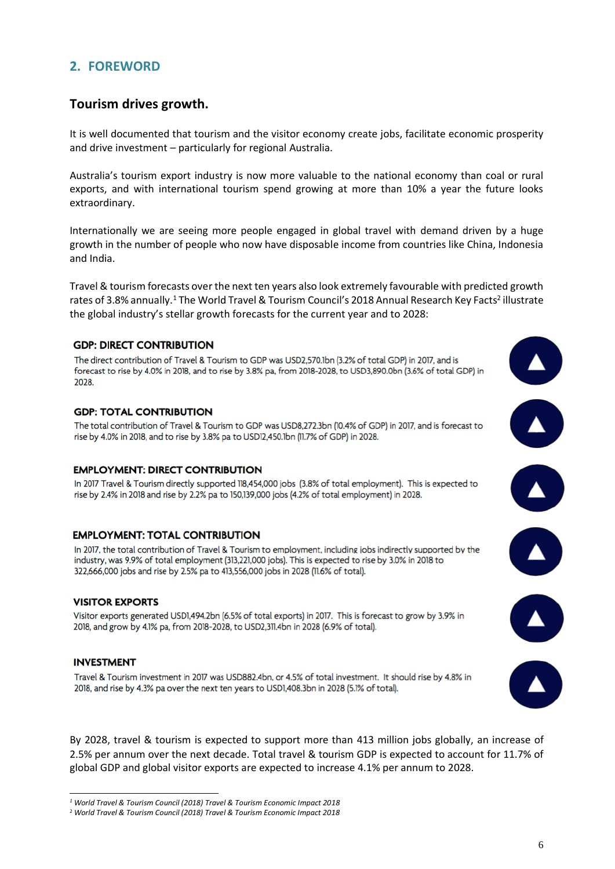# **2. FOREWORD**

### **Tourism drives growth.**

It is well documented that tourism and the visitor economy create jobs, facilitate economic prosperity and drive investment – particularly for regional Australia.

Australia's tourism export industry is now more valuable to the national economy than coal or rural exports, and with international tourism spend growing at more than 10% a year the future looks extraordinary.

Internationally we are seeing more people engaged in global travel with demand driven by a huge growth in the number of people who now have disposable income from countries like China, Indonesia and India.

Travel & tourism forecasts over the next ten years also look extremely favourable with predicted growth rates of 3.8% annually.<sup>1</sup> The World Travel & Tourism Council's 2018 Annual Research Key Facts<sup>2</sup> illustrate the global industry's stellar growth forecasts for the current year and to 2028:

#### **GDP: DIRECT CONTRIBUTION**

The direct contribution of Travel & Tourism to GDP was USD2.570.1bn (3.2% of total GDP) in 2017, and is forecast to rise by 4.0% in 2018, and to rise by 3.8% pa, from 2018-2028, to USD3,890.0bn (3.6% of total GDP) in 2028

#### **GDP: TOTAL CONTRIBUTION**

The total contribution of Travel & Tourism to GDP was USD8,272.3bn (10.4% of GDP) in 2017, and is forecast to rise by 4.0% in 2018, and to rise by 3.8% pa to USD12,450.1bn (11.7% of GDP) in 2028.

#### **EMPLOYMENT: DIRECT CONTRIBUTION**

In 2017 Travel & Tourism directly supported 118,454,000 jobs (3.8% of total employment). This is expected to rise by 2.4% in 2018 and rise by 2.2% pa to 150,139,000 jobs (4.2% of total employment) in 2028.

#### **EMPLOYMENT: TOTAL CONTRIBUTION**

In 2017, the total contribution of Travel & Tourism to employment, including jobs indirectly supported by the industry, was 9.9% of total employment (313,221,000 jobs). This is expected to rise by 3.0% in 2018 to 322,666,000 jobs and rise by 2.5% pa to 413,556,000 jobs in 2028 (11.6% of total).

#### **VISITOR EXPORTS**

Visitor exports generated USD1,494.2bn (6.5% of total exports) in 2017. This is forecast to grow by 3.9% in 2018, and grow by 4.1% pa, from 2018-2028, to USD2,311.4bn in 2028 (6.9% of total).

#### **INVESTMENT**

-

Travel & Tourism investment in 2017 was USD882.4bn, or 4.5% of total investment. It should rise by 4.8% in 2018, and rise by 4.3% pa over the next ten years to USD1,408.3bn in 2028 (5.1% of total).

By 2028, travel & tourism is expected to support more than 413 million jobs globally, an increase of 2.5% per annum over the next decade. Total travel & tourism GDP is expected to account for 11.7% of global GDP and global visitor exports are expected to increase 4.1% per annum to 2028.

*<sup>1</sup> World Travel & Tourism Council (2018) Travel & Tourism Economic Impact 2018*

<sup>2</sup> *World Travel & Tourism Council (2018) Travel & Tourism Economic Impact 2018*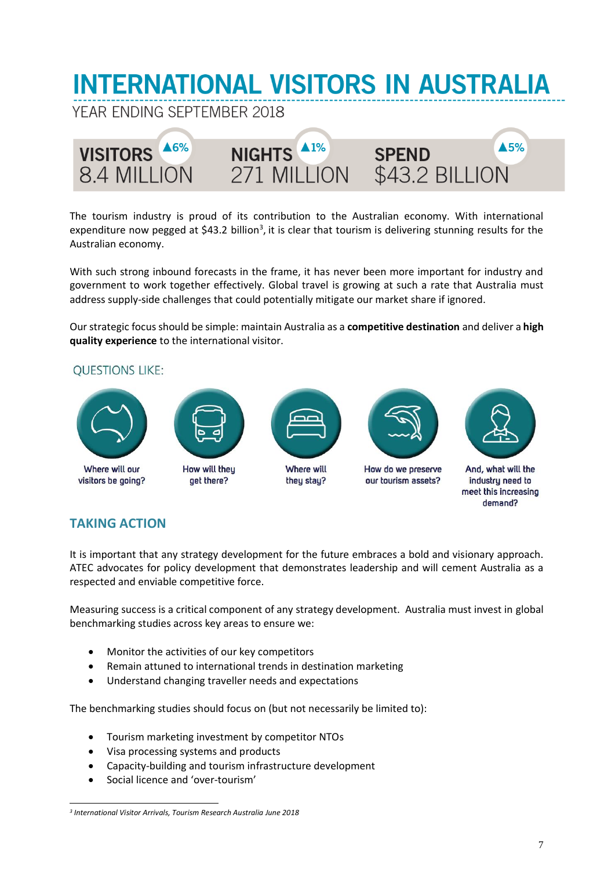# **INTERNATIONAL VISITORS IN AUSTRALIA**

YEAR ENDING SEPTEMBER 2018



The tourism industry is proud of its contribution to the Australian economy. With international expenditure now pegged at \$43.2 billion<sup>3</sup>, it is clear that tourism is delivering stunning results for the Australian economy.

With such strong inbound forecasts in the frame, it has never been more important for industry and government to work together effectively. Global travel is growing at such a rate that Australia must address supply-side challenges that could potentially mitigate our market share if ignored.

Our strategic focus should be simple: maintain Australia as a **competitive destination** and deliver a **high quality experience** to the international visitor.

## **OUESTIONS LIKE:**





Where will our visitors be going?

How will they get there?



**Where will** they stay?



How do we preserve our tourism assets?



And, what will the industry need to meet this increasing demand?

# **TAKING ACTION**

It is important that any strategy development for the future embraces a bold and visionary approach. ATEC advocates for policy development that demonstrates leadership and will cement Australia as a respected and enviable competitive force.

Measuring success is a critical component of any strategy development. Australia must invest in global benchmarking studies across key areas to ensure we:

- Monitor the activities of our key competitors
- Remain attuned to international trends in destination marketing
- Understand changing traveller needs and expectations

The benchmarking studies should focus on (but not necessarily be limited to):

- Tourism marketing investment by competitor NTOs
- Visa processing systems and products
- Capacity-building and tourism infrastructure development
- Social licence and 'over-tourism'

<sup>-</sup>*3 International Visitor Arrivals, Tourism Research Australia June 2018*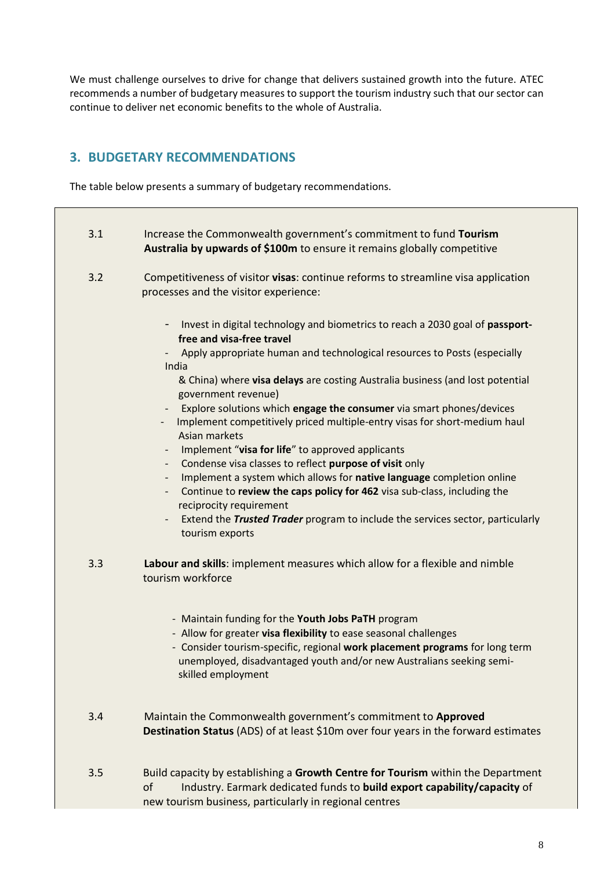We must challenge ourselves to drive for change that delivers sustained growth into the future. ATEC recommends a number of budgetary measures to support the tourism industry such that our sector can continue to deliver net economic benefits to the whole of Australia.

# **3. BUDGETARY RECOMMENDATIONS**

The table below presents a summary of budgetary recommendations.

| 3.1 | Increase the Commonwealth government's commitment to fund Tourism<br>Australia by upwards of \$100m to ensure it remains globally competitive                                                                                                                                                                                                                                                                                                                                                                                                                                                                                                                                                                                                                                                                                                                                                                                                          |
|-----|--------------------------------------------------------------------------------------------------------------------------------------------------------------------------------------------------------------------------------------------------------------------------------------------------------------------------------------------------------------------------------------------------------------------------------------------------------------------------------------------------------------------------------------------------------------------------------------------------------------------------------------------------------------------------------------------------------------------------------------------------------------------------------------------------------------------------------------------------------------------------------------------------------------------------------------------------------|
| 3.2 | Competitiveness of visitor visas: continue reforms to streamline visa application<br>processes and the visitor experience:                                                                                                                                                                                                                                                                                                                                                                                                                                                                                                                                                                                                                                                                                                                                                                                                                             |
|     | Invest in digital technology and biometrics to reach a 2030 goal of passport-<br>-<br>free and visa-free travel<br>Apply appropriate human and technological resources to Posts (especially<br>India<br>& China) where visa delays are costing Australia business (and lost potential<br>government revenue)<br>Explore solutions which engage the consumer via smart phones/devices<br>Implement competitively priced multiple-entry visas for short-medium haul<br>Asian markets<br>Implement "visa for life" to approved applicants<br>$\overline{\phantom{a}}$<br>Condense visa classes to reflect purpose of visit only<br>Implement a system which allows for native language completion online<br>-<br>Continue to review the caps policy for 462 visa sub-class, including the<br>$\qquad \qquad \blacksquare$<br>reciprocity requirement<br>Extend the Trusted Trader program to include the services sector, particularly<br>tourism exports |
| 3.3 | Labour and skills: implement measures which allow for a flexible and nimble<br>tourism workforce                                                                                                                                                                                                                                                                                                                                                                                                                                                                                                                                                                                                                                                                                                                                                                                                                                                       |
|     | - Maintain funding for the Youth Jobs PaTH program<br>- Allow for greater visa flexibility to ease seasonal challenges<br>- Consider tourism-specific, regional work placement programs for long term<br>unemployed, disadvantaged youth and/or new Australians seeking semi-<br>skilled employment                                                                                                                                                                                                                                                                                                                                                                                                                                                                                                                                                                                                                                                    |
| 3.4 | Maintain the Commonwealth government's commitment to Approved<br>Destination Status (ADS) of at least \$10m over four years in the forward estimates                                                                                                                                                                                                                                                                                                                                                                                                                                                                                                                                                                                                                                                                                                                                                                                                   |
| 3.5 | Build capacity by establishing a Growth Centre for Tourism within the Department<br>Industry. Earmark dedicated funds to build export capability/capacity of<br>of<br>new tourism business, particularly in regional centres                                                                                                                                                                                                                                                                                                                                                                                                                                                                                                                                                                                                                                                                                                                           |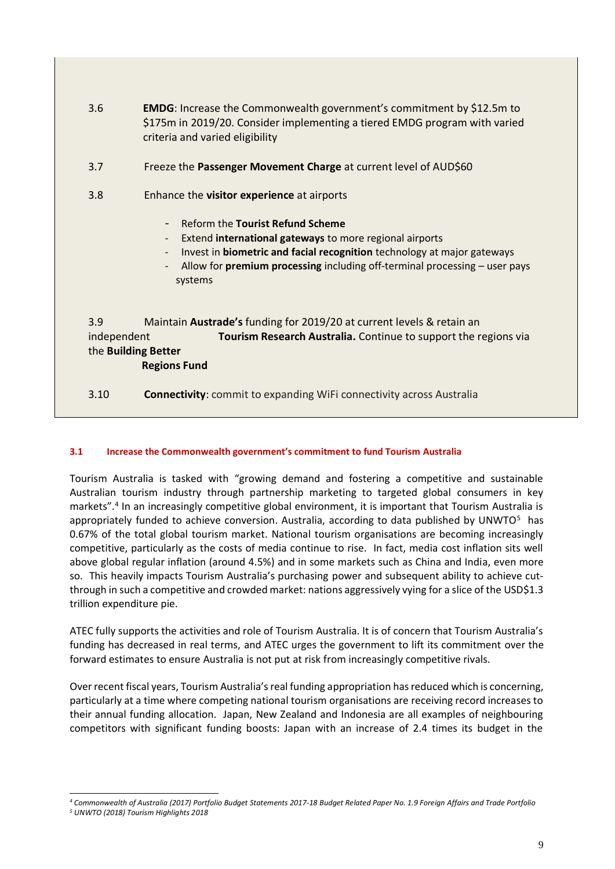- 3.6 **EMDG**: Increase the Commonwealth government's commitment by \$12.5m to \$175m in 2019/20. Consider implementing a tiered EMDG program with varied criteria and varied eligibility
- 3.7 Freeze the **Passenger Movement Charge** at current level of AUD\$60
- 3.8 Enhance the **visitor experience** at airports
	- Reform the **Tourist Refund Scheme**
	- Extend **international gateways** to more regional airports
	- Invest in **biometric and facial recognition** technology at major gateways
	- Allow for **premium processing** including off-terminal processing user pays systems

3.9 Maintain **Austrade's** funding for 2019/20 at current levels & retain an independent **Tourism Research Australia.** Continue to support the regions via the **Building Better Regions Fund**

3.10 **Connectivity**: commit to expanding WiFi connectivity across Australia

#### **3.1 Increase the Commonwealth government's commitment to fund Tourism Australia**

Tourism Australia is tasked with "growing demand and fostering a competitive and sustainable Australian tourism industry through partnership marketing to targeted global consumers in key markets".<sup>4</sup> In an increasingly competitive global environment, it is important that Tourism Australia is appropriately funded to achieve conversion. Australia, according to data published by UNWTO $5$  has 0.67% of the total global tourism market. National tourism organisations are becoming increasingly competitive, particularly as the costs of media continue to rise. In fact, media cost inflation sits well above global regular inflation (around 4.5%) and in some markets such as China and India, even more so. This heavily impacts Tourism Australia's purchasing power and subsequent ability to achieve cutthrough in such a competitive and crowded market: nations aggressively vying for a slice of the USD\$1.3 trillion expenditure pie.

ATEC fully supports the activities and role of Tourism Australia. It is of concern that Tourism Australia's funding has decreased in real terms, and ATEC urges the government to lift its commitment over the forward estimates to ensure Australia is not put at risk from increasingly competitive rivals.

Over recent fiscal years, Tourism Australia's real funding appropriation has reduced which is concerning, particularly at a time where competing national tourism organisations are receiving record increases to their annual funding allocation. Japan, New Zealand and Indonesia are all examples of neighbouring competitors with significant funding boosts: Japan with an increase of 2.4 times its budget in the

*<sup>4</sup> Commonwealth of Australia (2017) Portfolio Budget Statements 2017-18 Budget Related Paper No. 1.9 Foreign Affairs and Trade Portfolio*

*<sup>5</sup> UNWTO (2018) Tourism Highlights 2018*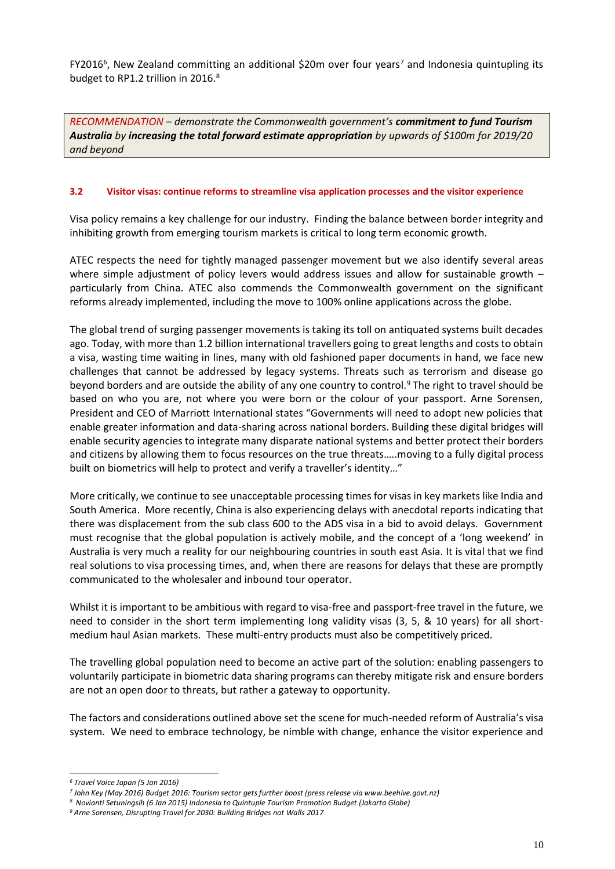FY2016<sup>6</sup>, New Zealand committing an additional \$20m over four years<sup>7</sup> and Indonesia quintupling its budget to RP1.2 trillion in 2016.<sup>8</sup>

*RECOMMENDATION – demonstrate the Commonwealth government's commitment to fund Tourism Australia by increasing the total forward estimate appropriation by upwards of \$100m for 2019/20 and beyond*

#### **3.2 Visitor visas: continue reforms to streamline visa application processes and the visitor experience**

Visa policy remains a key challenge for our industry. Finding the balance between border integrity and inhibiting growth from emerging tourism markets is critical to long term economic growth.

ATEC respects the need for tightly managed passenger movement but we also identify several areas where simple adjustment of policy levers would address issues and allow for sustainable growth – particularly from China. ATEC also commends the Commonwealth government on the significant reforms already implemented, including the move to 100% online applications across the globe.

The global trend of surging passenger movements is taking its toll on antiquated systems built decades ago. Today, with more than 1.2 billion international travellers going to great lengths and costs to obtain a visa, wasting time waiting in lines, many with old fashioned paper documents in hand, we face new challenges that cannot be addressed by legacy systems. Threats such as terrorism and disease go beyond borders and are outside the ability of any one country to control.<sup>9</sup> The right to travel should be based on who you are, not where you were born or the colour of your passport. Arne Sorensen, President and CEO of Marriott International states "Governments will need to adopt new policies that enable greater information and data-sharing across national borders. Building these digital bridges will enable security agencies to integrate many disparate national systems and better protect their borders and citizens by allowing them to focus resources on the true threats…..moving to a fully digital process built on biometrics will help to protect and verify a traveller's identity..."

More critically, we continue to see unacceptable processing times for visas in key markets like India and South America. More recently, China is also experiencing delays with anecdotal reports indicating that there was displacement from the sub class 600 to the ADS visa in a bid to avoid delays. Government must recognise that the global population is actively mobile, and the concept of a 'long weekend' in Australia is very much a reality for our neighbouring countries in south east Asia. It is vital that we find real solutions to visa processing times, and, when there are reasons for delays that these are promptly communicated to the wholesaler and inbound tour operator.

Whilst it is important to be ambitious with regard to visa-free and passport-free travel in the future, we need to consider in the short term implementing long validity visas (3, 5, & 10 years) for all shortmedium haul Asian markets. These multi-entry products must also be competitively priced.

The travelling global population need to become an active part of the solution: enabling passengers to voluntarily participate in biometric data sharing programs can thereby mitigate risk and ensure borders are not an open door to threats, but rather a gateway to opportunity.

The factors and considerations outlined above set the scene for much-needed reform of Australia's visa system. We need to embrace technology, be nimble with change, enhance the visitor experience and

*<sup>6</sup> Travel Voice Japan (5 Jan 2016)*

*<sup>7</sup> John Key (May 2016) Budget 2016: Tourism sector gets further boost (press release via www.beehive.govt.nz)*

*<sup>8</sup> Novianti Setuningsih (6 Jan 2015) Indonesia to Quintuple Tourism Promotion Budget (Jakarta Globe)*

*<sup>9</sup> Arne Sorensen, Disrupting Travel for 2030: Building Bridges not Walls 2017*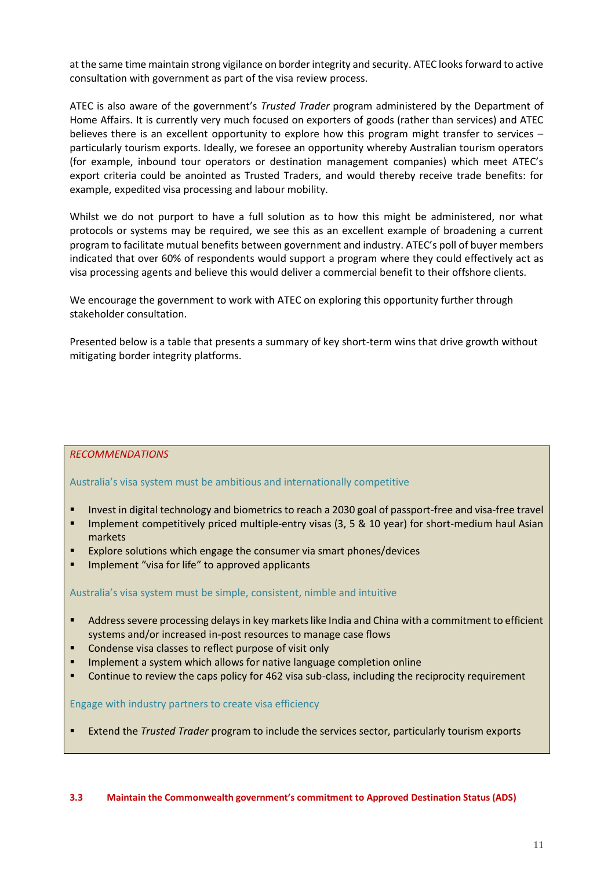at the same time maintain strong vigilance on border integrity and security. ATEC looks forward to active consultation with government as part of the visa review process.

ATEC is also aware of the government's *Trusted Trader* program administered by the Department of Home Affairs. It is currently very much focused on exporters of goods (rather than services) and ATEC believes there is an excellent opportunity to explore how this program might transfer to services particularly tourism exports. Ideally, we foresee an opportunity whereby Australian tourism operators (for example, inbound tour operators or destination management companies) which meet ATEC's export criteria could be anointed as Trusted Traders, and would thereby receive trade benefits: for example, expedited visa processing and labour mobility.

Whilst we do not purport to have a full solution as to how this might be administered, nor what protocols or systems may be required, we see this as an excellent example of broadening a current program to facilitate mutual benefits between government and industry. ATEC's poll of buyer members indicated that over 60% of respondents would support a program where they could effectively act as visa processing agents and believe this would deliver a commercial benefit to their offshore clients.

We encourage the government to work with ATEC on exploring this opportunity further through stakeholder consultation.

Presented below is a table that presents a summary of key short-term wins that drive growth without mitigating border integrity platforms.

#### *RECOMMENDATIONS*

Australia's visa system must be ambitious and internationally competitive

- Invest in digital technology and biometrics to reach a 2030 goal of passport-free and visa-free travel
- Implement competitively priced multiple-entry visas (3, 5 & 10 year) for short-medium haul Asian markets
- Explore solutions which engage the consumer via smart phones/devices
- Implement "visa for life" to approved applicants

#### Australia's visa system must be simple, consistent, nimble and intuitive

- Address severe processing delays in key markets like India and China with a commitment to efficient systems and/or increased in-post resources to manage case flows
- Condense visa classes to reflect purpose of visit only
- Implement a system which allows for native language completion online
- **•** Continue to review the caps policy for 462 visa sub-class, including the reciprocity requirement

Engage with industry partners to create visa efficiency

Extend the *Trusted Trader* program to include the services sector, particularly tourism exports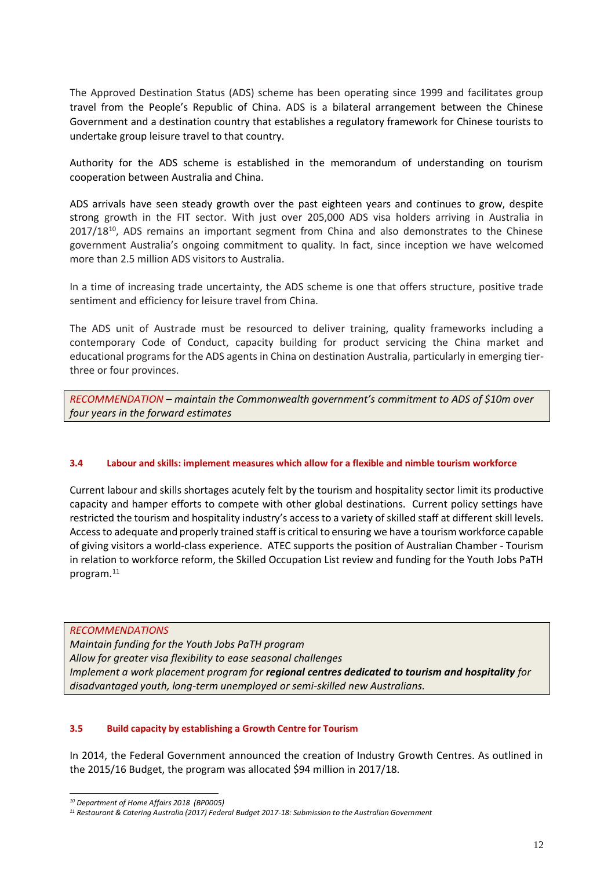The Approved Destination Status (ADS) scheme has been operating since 1999 and facilitates group travel from the People's Republic of China. ADS is a bilateral arrangement between the Chinese Government and a destination country that establishes a regulatory framework for Chinese tourists to undertake group leisure travel to that country.

Authority for the ADS scheme is established in the memorandum of understanding on tourism cooperation between Australia and China.

ADS arrivals have seen steady growth over the past eighteen years and continues to grow, despite strong growth in the FIT sector. With just over 205,000 ADS visa holders arriving in Australia in 2017/18<sup>10</sup>, ADS remains an important segment from China and also demonstrates to the Chinese government Australia's ongoing commitment to quality. In fact, since inception we have welcomed more than 2.5 million ADS visitors to Australia.

In a time of increasing trade uncertainty, the ADS scheme is one that offers structure, positive trade sentiment and efficiency for leisure travel from China.

The ADS unit of Austrade must be resourced to deliver training, quality frameworks including a contemporary Code of Conduct, capacity building for product servicing the China market and educational programs for the ADS agents in China on destination Australia, particularly in emerging tierthree or four provinces.

*RECOMMENDATION – maintain the Commonwealth government's commitment to ADS of \$10m over four years in the forward estimates*

#### **3.4 Labour and skills: implement measures which allow for a flexible and nimble tourism workforce**

Current labour and skills shortages acutely felt by the tourism and hospitality sector limit its productive capacity and hamper efforts to compete with other global destinations. Current policy settings have restricted the tourism and hospitality industry's access to a variety of skilled staff at different skill levels. Access to adequate and properly trained staff is critical to ensuring we have a tourism workforce capable of giving visitors a world-class experience. ATEC supports the position of Australian Chamber - Tourism in relation to workforce reform, the Skilled Occupation List review and funding for the Youth Jobs PaTH program.<sup>11</sup>

*RECOMMENDATIONS Maintain funding for the Youth Jobs PaTH program Allow for greater visa flexibility to ease seasonal challenges Implement a work placement program for regional centres dedicated to tourism and hospitality for disadvantaged youth, long-term unemployed or semi-skilled new Australians.*

#### **3.5 Build capacity by establishing a Growth Centre for Tourism**

In 2014, the Federal Government announced the creation of Industry Growth Centres. As outlined in the 2015/16 Budget, the program was allocated \$94 million in 2017/18.

*<sup>10</sup> Department of Home Affairs 2018 (BP0005)*

*<sup>11</sup> Restaurant & Catering Australia (2017) Federal Budget 2017-18: Submission to the Australian Government*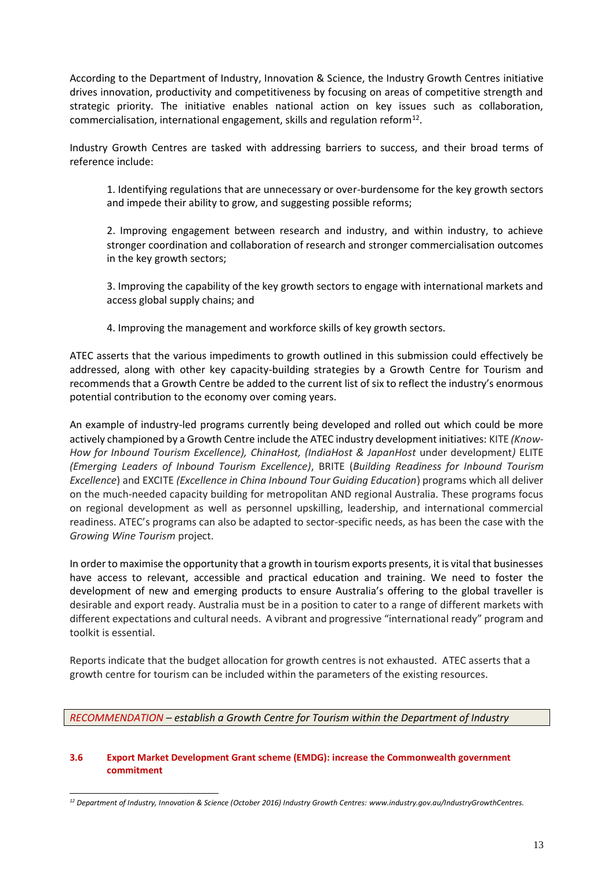According to the Department of Industry, Innovation & Science, the Industry Growth Centres initiative drives innovation, productivity and competitiveness by focusing on areas of competitive strength and strategic priority. The initiative enables national action on key issues such as collaboration, commercialisation, international engagement, skills and regulation reform $^{12}$ .

Industry Growth Centres are tasked with addressing barriers to success, and their broad terms of reference include:

1. Identifying regulations that are unnecessary or over-burdensome for the key growth sectors and impede their ability to grow, and suggesting possible reforms;

2. Improving engagement between research and industry, and within industry, to achieve stronger coordination and collaboration of research and stronger commercialisation outcomes in the key growth sectors;

3. Improving the capability of the key growth sectors to engage with international markets and access global supply chains; and

4. Improving the management and workforce skills of key growth sectors.

ATEC asserts that the various impediments to growth outlined in this submission could effectively be addressed, along with other key capacity-building strategies by a Growth Centre for Tourism and recommends that a Growth Centre be added to the current list of six to reflect the industry's enormous potential contribution to the economy over coming years.

An example of industry-led programs currently being developed and rolled out which could be more actively championed by a Growth Centre include the ATEC industry development initiatives: KITE *(Know-How for Inbound Tourism Excellence), ChinaHost, (IndiaHost & JapanHost* under development*)* ELITE *(Emerging Leaders of Inbound Tourism Excellence)*, BRITE (*Building Readiness for Inbound Tourism Excellence*) and EXCITE *(Excellence in China Inbound Tour Guiding Education*) programs which all deliver on the much-needed capacity building for metropolitan AND regional Australia. These programs focus on regional development as well as personnel upskilling, leadership, and international commercial readiness. ATEC's programs can also be adapted to sector-specific needs, as has been the case with the *Growing Wine Tourism* project.

In order to maximise the opportunity that a growth in tourism exports presents, it is vital that businesses have access to relevant, accessible and practical education and training. We need to foster the development of new and emerging products to ensure Australia's offering to the global traveller is desirable and export ready. Australia must be in a position to cater to a range of different markets with different expectations and cultural needs. A vibrant and progressive "international ready" program and toolkit is essential.

Reports indicate that the budget allocation for growth centres is not exhausted. ATEC asserts that a growth centre for tourism can be included within the parameters of the existing resources.

*RECOMMENDATION – establish a Growth Centre for Tourism within the Department of Industry*

#### **3.6 Export Market Development Grant scheme (EMDG): increase the Commonwealth government commitment**

*<sup>12</sup> Department of Industry, Innovation & Science (October 2016) Industry Growth Centres: www.industry.gov.au/IndustryGrowthCentres.*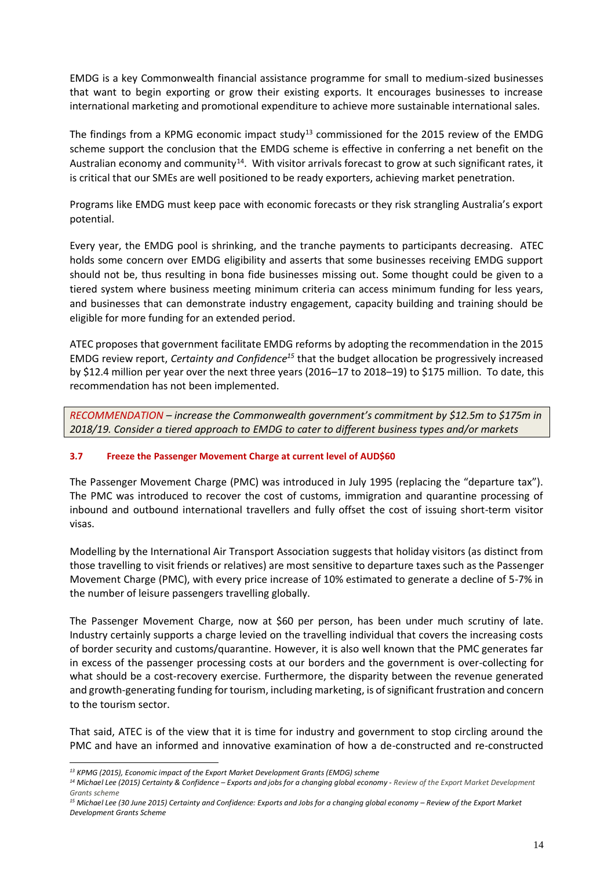EMDG is a key Commonwealth financial assistance programme for small to medium-sized businesses that want to begin exporting or grow their existing exports. It encourages businesses to increase international marketing and promotional expenditure to achieve more sustainable international sales.

The findings from a KPMG economic impact study<sup>13</sup> commissioned for the 2015 review of the EMDG scheme support the conclusion that the EMDG scheme is effective in conferring a net benefit on the Australian economy and community<sup>14</sup>. With visitor arrivals forecast to grow at such significant rates, it is critical that our SMEs are well positioned to be ready exporters, achieving market penetration.

Programs like EMDG must keep pace with economic forecasts or they risk strangling Australia's export potential.

Every year, the EMDG pool is shrinking, and the tranche payments to participants decreasing. ATEC holds some concern over EMDG eligibility and asserts that some businesses receiving EMDG support should not be, thus resulting in bona fide businesses missing out. Some thought could be given to a tiered system where business meeting minimum criteria can access minimum funding for less years, and businesses that can demonstrate industry engagement, capacity building and training should be eligible for more funding for an extended period.

ATEC proposes that government facilitate EMDG reforms by adopting the recommendation in the 2015 EMDG review report, *Certainty and Confidence<sup>15</sup>* that the budget allocation be progressively increased by \$12.4 million per year over the next three years (2016–17 to 2018–19) to \$175 million. To date, this recommendation has not been implemented.

*RECOMMENDATION – increase the Commonwealth government's commitment by \$12.5m to \$175m in 2018/19. Consider a tiered approach to EMDG to cater to different business types and/or markets*

#### **3.7 Freeze the Passenger Movement Charge at current level of AUD\$60**

The Passenger Movement Charge (PMC) was introduced in July 1995 (replacing the "departure tax"). The PMC was introduced to recover the cost of customs, immigration and quarantine processing of inbound and outbound international travellers and fully offset the cost of issuing short-term visitor visas.

Modelling by the International Air Transport Association suggests that holiday visitors (as distinct from those travelling to visit friends or relatives) are most sensitive to departure taxes such as the Passenger Movement Charge (PMC), with every price increase of 10% estimated to generate a decline of 5-7% in the number of leisure passengers travelling globally.

The Passenger Movement Charge, now at \$60 per person, has been under much scrutiny of late. Industry certainly supports a charge levied on the travelling individual that covers the increasing costs of border security and customs/quarantine. However, it is also well known that the PMC generates far in excess of the passenger processing costs at our borders and the government is over-collecting for what should be a cost-recovery exercise. Furthermore, the disparity between the revenue generated and growth-generating funding for tourism, including marketing, is of significant frustration and concern to the tourism sector.

That said, ATEC is of the view that it is time for industry and government to stop circling around the PMC and have an informed and innovative examination of how a de-constructed and re-constructed

*<sup>13</sup> KPMG (2015), Economic impact of the Export Market Development Grants (EMDG) scheme* 

<sup>&</sup>lt;sup>14</sup> Michael Lee (2015) Certainty & Confidence - Exports and jobs for a changing global economy - Review of the Export Market Development *Grants scheme* 

<sup>&</sup>lt;sup>15</sup> Michael Lee (30 June 2015) Certainty and Confidence: Exports and Jobs for a changing global economy – Review of the Export Market *Development Grants Scheme*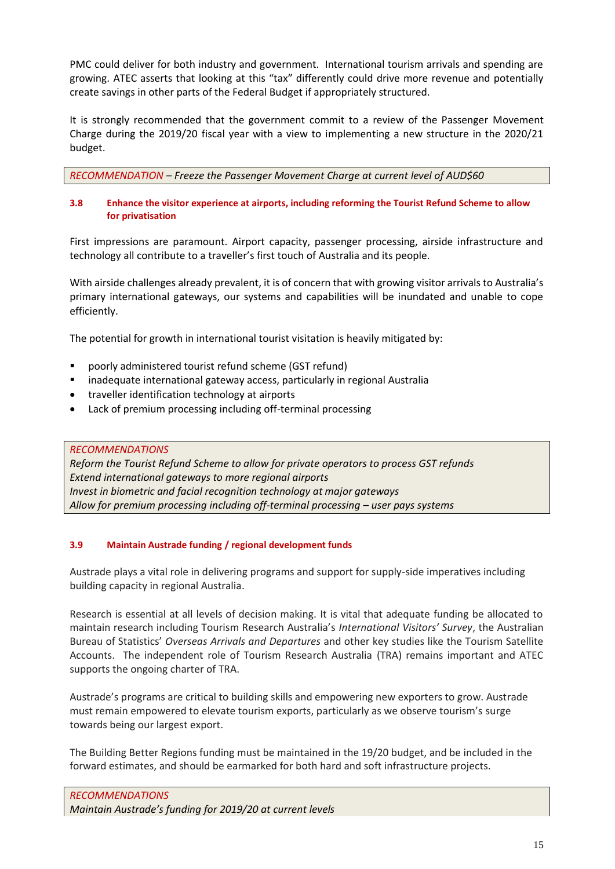PMC could deliver for both industry and government. International tourism arrivals and spending are growing. ATEC asserts that looking at this "tax" differently could drive more revenue and potentially create savings in other parts of the Federal Budget if appropriately structured.

It is strongly recommended that the government commit to a review of the Passenger Movement Charge during the 2019/20 fiscal year with a view to implementing a new structure in the 2020/21 budget.

*RECOMMENDATION – Freeze the Passenger Movement Charge at current level of AUD\$60*

#### **3.8 Enhance the visitor experience at airports, including reforming the Tourist Refund Scheme to allow for privatisation**

First impressions are paramount. Airport capacity, passenger processing, airside infrastructure and technology all contribute to a traveller's first touch of Australia and its people.

With airside challenges already prevalent, it is of concern that with growing visitor arrivals to Australia's primary international gateways, our systems and capabilities will be inundated and unable to cope efficiently.

The potential for growth in international tourist visitation is heavily mitigated by:

- poorly administered tourist refund scheme (GST refund)
- inadequate international gateway access, particularly in regional Australia
- traveller identification technology at airports
- Lack of premium processing including off-terminal processing

*RECOMMENDATIONS Reform the Tourist Refund Scheme to allow for private operators to process GST refunds Extend international gateways to more regional airports Invest in biometric and facial recognition technology at major gateways* Allow for premium processing including off-terminal processing – user pays systems

#### **3.9 Maintain Austrade funding / regional development funds**

Austrade plays a vital role in delivering programs and support for supply-side imperatives including building capacity in regional Australia.

Research is essential at all levels of decision making. It is vital that adequate funding be allocated to maintain research including Tourism Research Australia's *International Visitors' Survey*, the Australian Bureau of Statistics' *Overseas Arrivals and Departures* and other key studies like the Tourism Satellite Accounts. The independent role of Tourism Research Australia (TRA) remains important and ATEC supports the ongoing charter of TRA.

Austrade's programs are critical to building skills and empowering new exporters to grow. Austrade must remain empowered to elevate tourism exports, particularly as we observe tourism's surge towards being our largest export.

The Building Better Regions funding must be maintained in the 19/20 budget, and be included in the forward estimates, and should be earmarked for both hard and soft infrastructure projects.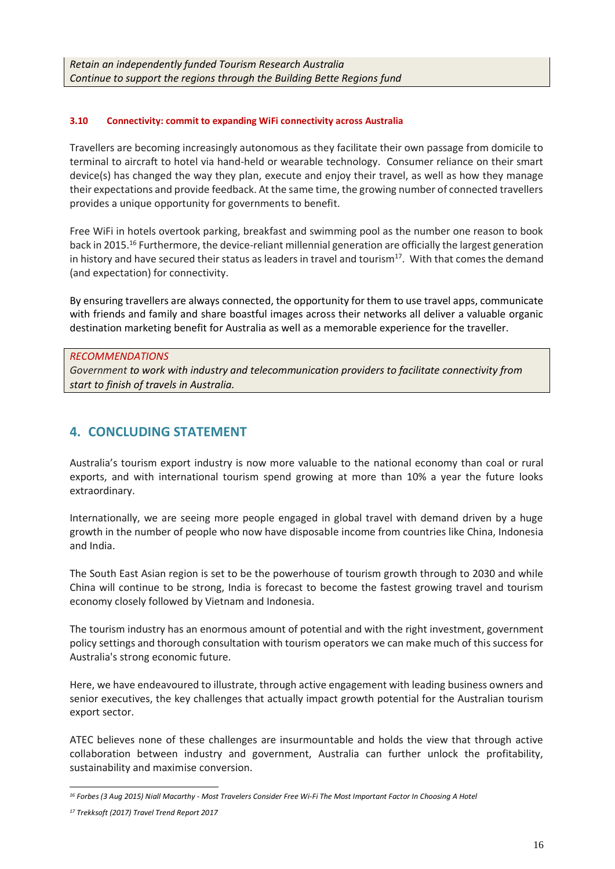#### **3.10 Connectivity: commit to expanding WiFi connectivity across Australia**

Travellers are becoming increasingly autonomous as they facilitate their own passage from domicile to terminal to aircraft to hotel via hand-held or wearable technology. Consumer reliance on their smart device(s) has changed the way they plan, execute and enjoy their travel, as well as how they manage their expectations and provide feedback. At the same time, the growing number of connected travellers provides a unique opportunity for governments to benefit.

Free WiFi in hotels overtook parking, breakfast and swimming pool as the number one reason to book back in 2015.<sup>16</sup> Furthermore, the device-reliant millennial generation are officially the largest generation in history and have secured their status as leaders in travel and tourism $17$ . With that comes the demand (and expectation) for connectivity.

By ensuring travellers are always connected, the opportunity for them to use travel apps, communicate with friends and family and share boastful images across their networks all deliver a valuable organic destination marketing benefit for Australia as well as a memorable experience for the traveller.

#### *RECOMMENDATIONS*

*Government to work with industry and telecommunication providers to facilitate connectivity from start to finish of travels in Australia.*

# **4. CONCLUDING STATEMENT**

Australia's tourism export industry is now more valuable to the national economy than coal or rural exports, and with international tourism spend growing at more than 10% a year the future looks extraordinary.

Internationally, we are seeing more people engaged in global travel with demand driven by a huge growth in the number of people who now have disposable income from countries like China, Indonesia and India.

The South East Asian region is set to be the powerhouse of tourism growth through to 2030 and while China will continue to be strong, India is forecast to become the fastest growing travel and tourism economy closely followed by Vietnam and Indonesia.

The tourism industry has an enormous amount of potential and with the right investment, government policy settings and thorough consultation with tourism operators we can make much of this success for Australia's strong economic future.

Here, we have endeavoured to illustrate, through active engagement with leading business owners and senior executives, the key challenges that actually impact growth potential for the Australian tourism export sector.

ATEC believes none of these challenges are insurmountable and holds the view that through active collaboration between industry and government, Australia can further unlock the profitability, sustainability and maximise conversion.

*<sup>16</sup> Forbes (3 Aug 2015) Niall Macarthy - Most Travelers Consider Free Wi-Fi The Most Important Factor In Choosing A Hotel*

*<sup>17</sup> Trekksoft (2017) Travel Trend Report 2017*